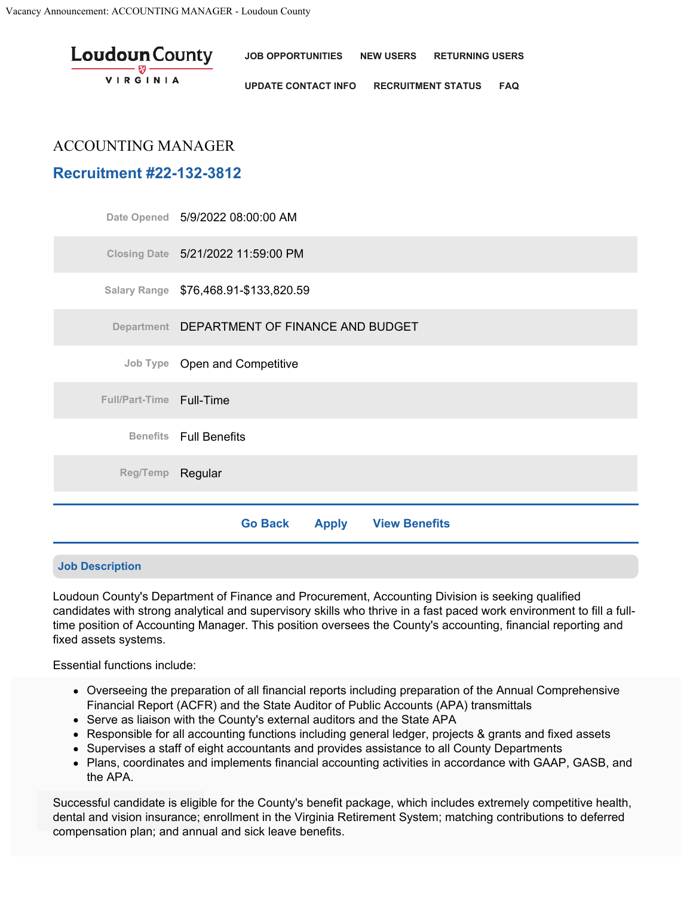| <b>Loudoun</b> County<br><b>VIRGINIA</b> | JOB OPPORTUNITIES NEW USERS RETURNING USERS |                               |  |
|------------------------------------------|---------------------------------------------|-------------------------------|--|
|                                          | <b>UPDATE CONTACT INFO</b>                  | <b>RECRUITMENT STATUS FAQ</b> |  |

## ACCOUNTING MANAGER

# **Recruitment #22-132-3812**

|                          | Date Opened 5/9/2022 08:00:00 AM                       |  |  |  |  |  |
|--------------------------|--------------------------------------------------------|--|--|--|--|--|
|                          | Closing Date 5/21/2022 11:59:00 PM                     |  |  |  |  |  |
|                          | Salary Range \$76,468.91-\$133,820.59                  |  |  |  |  |  |
|                          | Department DEPARTMENT OF FINANCE AND BUDGET            |  |  |  |  |  |
|                          | Job Type Open and Competitive                          |  |  |  |  |  |
| Full/Part-Time Full-Time |                                                        |  |  |  |  |  |
|                          | <b>Benefits</b> Full Benefits                          |  |  |  |  |  |
| Reg/Temp Regular         |                                                        |  |  |  |  |  |
|                          |                                                        |  |  |  |  |  |
|                          | <b>View Benefits</b><br><b>Go Back</b><br><b>Apply</b> |  |  |  |  |  |

### **Job Description**

Loudoun County's Department of Finance and Procurement, Accounting Division is seeking qualified candidates with strong analytical and supervisory skills who thrive in a fast paced work environment to fill a fulltime position of Accounting Manager. This position oversees the County's accounting, financial reporting and fixed assets systems.

Essential functions include:

- Overseeing the preparation of all financial reports including preparation of the Annual Comprehensive Financial Report (ACFR) and the State Auditor of Public Accounts (APA) transmittals
- Hinancial Report (ACFR) and the State Auditor of Public Accounts (AP⊱<br>Serve as liaison with the County's external auditors and the State APA ●
- $\bullet~$  Responsible for all accounting functions including general ledger, projects & grants and fixed assets
- $\bullet$  Supervises a staff of eight accountants and provides assistance to all County Departments
- Plans, coordinates and implements financial accounting activities in accordance with GAAP, GASB, and the APA.

Successful candidate is eligible for the County's benefit package, which includes extremely competitive health, dental and vision insurance; enrollment in the Virginia Retirement System; matching contributions to deferred **Accept Dismiss** compensation plan; and annual and sick leave benefits.